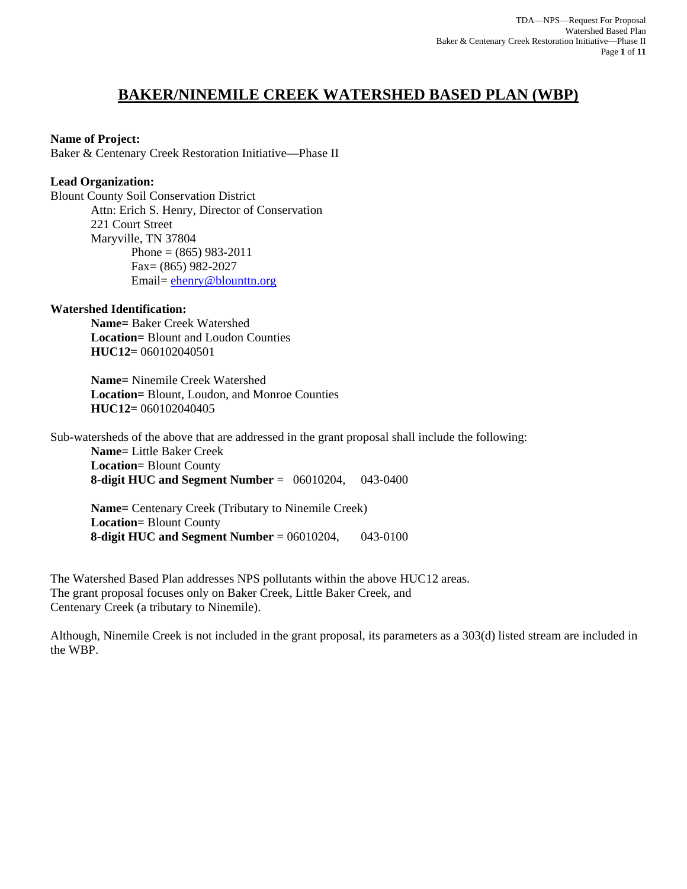# **BAKER/NINEMILE CREEK WATERSHED BASED PLAN (WBP)**

## **Name of Project:**

Baker & Centenary Creek Restoration Initiative—Phase II

## **Lead Organization:**

Blount County Soil Conservation District Attn: Erich S. Henry, Director of Conservation 221 Court Street Maryville, TN 37804 Phone =  $(865)$  983-2011 Fax= (865) 982-2027 Email= ehenry@blounttn.org

#### **Watershed Identification:**

 **Name=** Baker Creek Watershed  **Location=** Blount and Loudon Counties  **HUC12=** 060102040501

 **Name=** Ninemile Creek Watershed  **Location=** Blount, Loudon, and Monroe Counties  **HUC12=** 060102040405

Sub-watersheds of the above that are addressed in the grant proposal shall include the following:

**Name**= Little Baker Creek **Location**= Blount County **8-digit HUC and Segment Number** = 06010204, 043-0400

**Name=** Centenary Creek (Tributary to Ninemile Creek) **Location**= Blount County **8-digit HUC and Segment Number** = 06010204, 043-0100

The Watershed Based Plan addresses NPS pollutants within the above HUC12 areas. The grant proposal focuses only on Baker Creek, Little Baker Creek, and Centenary Creek (a tributary to Ninemile).

Although, Ninemile Creek is not included in the grant proposal, its parameters as a 303(d) listed stream are included in the WBP.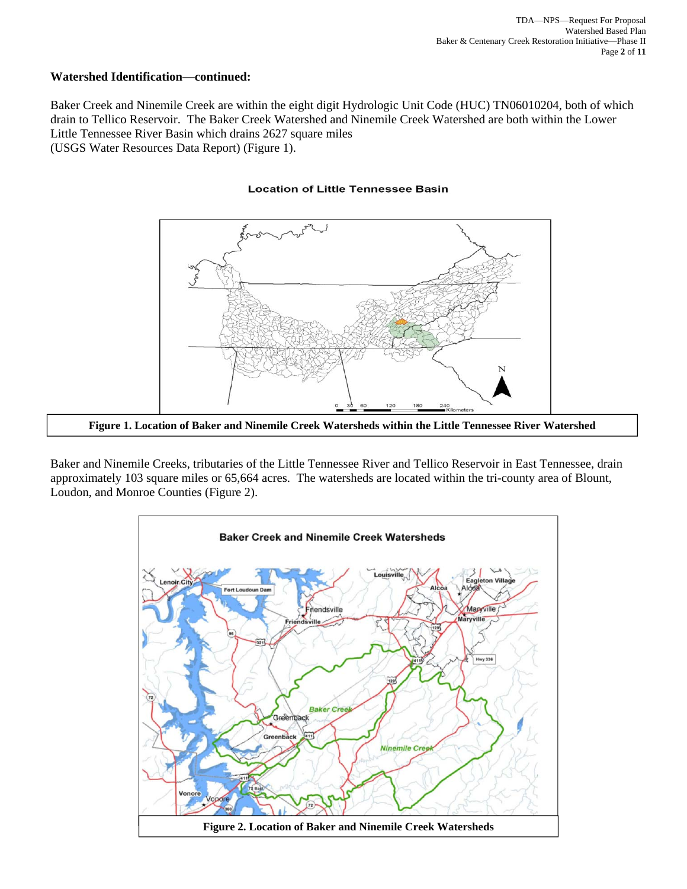## **Watershed Identification—continued:**

Baker Creek and Ninemile Creek are within the eight digit Hydrologic Unit Code (HUC) TN06010204, both of which drain to Tellico Reservoir. The Baker Creek Watershed and Ninemile Creek Watershed are both within the Lower Little Tennessee River Basin which drains 2627 square miles (USGS Water Resources Data Report) (Figure 1).

#### **Location of Little Tennessee Basin**



**Figure 1. Location of Baker and Ninemile Creek Watersheds within the Little Tennessee River Watershed** 

Baker and Ninemile Creeks, tributaries of the Little Tennessee River and Tellico Reservoir in East Tennessee, drain approximately 103 square miles or 65,664 acres. The watersheds are located within the tri-county area of Blount, Loudon, and Monroe Counties (Figure 2).

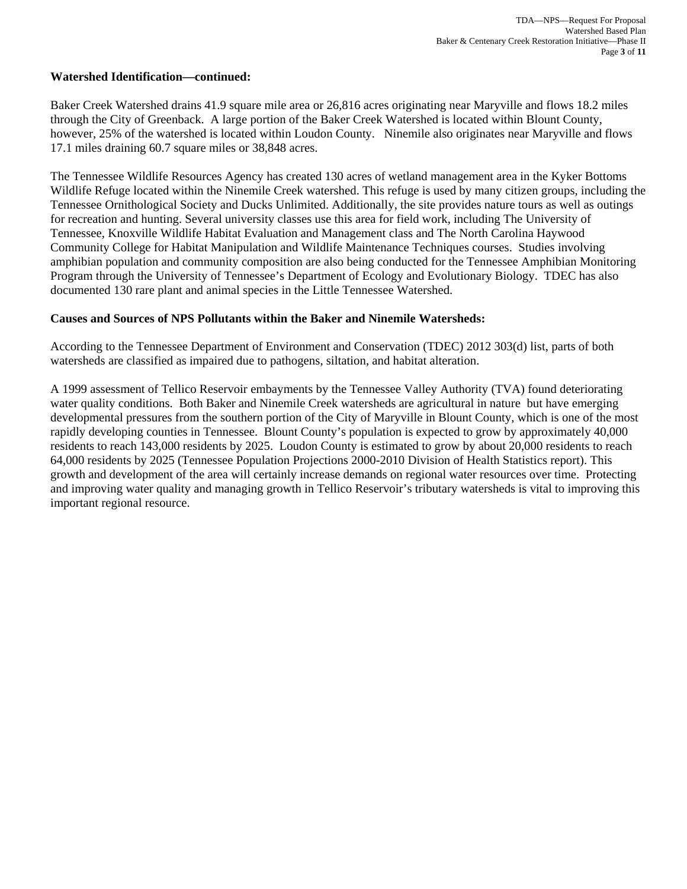#### **Watershed Identification—continued:**

Baker Creek Watershed drains 41.9 square mile area or 26,816 acres originating near Maryville and flows 18.2 miles through the City of Greenback. A large portion of the Baker Creek Watershed is located within Blount County, however, 25% of the watershed is located within Loudon County. Ninemile also originates near Maryville and flows 17.1 miles draining 60.7 square miles or 38,848 acres.

The Tennessee Wildlife Resources Agency has created 130 acres of wetland management area in the Kyker Bottoms Wildlife Refuge located within the Ninemile Creek watershed. This refuge is used by many citizen groups, including the Tennessee Ornithological Society and Ducks Unlimited. Additionally, the site provides nature tours as well as outings for recreation and hunting. Several university classes use this area for field work, including The University of Tennessee, Knoxville Wildlife Habitat Evaluation and Management class and The North Carolina Haywood Community College for Habitat Manipulation and Wildlife Maintenance Techniques courses. Studies involving amphibian population and community composition are also being conducted for the Tennessee Amphibian Monitoring Program through the University of Tennessee's Department of Ecology and Evolutionary Biology. TDEC has also documented 130 rare plant and animal species in the Little Tennessee Watershed.

#### **Causes and Sources of NPS Pollutants within the Baker and Ninemile Watersheds:**

According to the Tennessee Department of Environment and Conservation (TDEC) 2012 303(d) list, parts of both watersheds are classified as impaired due to pathogens, siltation, and habitat alteration.

A 1999 assessment of Tellico Reservoir embayments by the Tennessee Valley Authority (TVA) found deteriorating water quality conditions. Both Baker and Ninemile Creek watersheds are agricultural in nature but have emerging developmental pressures from the southern portion of the City of Maryville in Blount County, which is one of the most rapidly developing counties in Tennessee. Blount County's population is expected to grow by approximately 40,000 residents to reach 143,000 residents by 2025. Loudon County is estimated to grow by about 20,000 residents to reach 64,000 residents by 2025 (Tennessee Population Projections 2000-2010 Division of Health Statistics report). This growth and development of the area will certainly increase demands on regional water resources over time. Protecting and improving water quality and managing growth in Tellico Reservoir's tributary watersheds is vital to improving this important regional resource.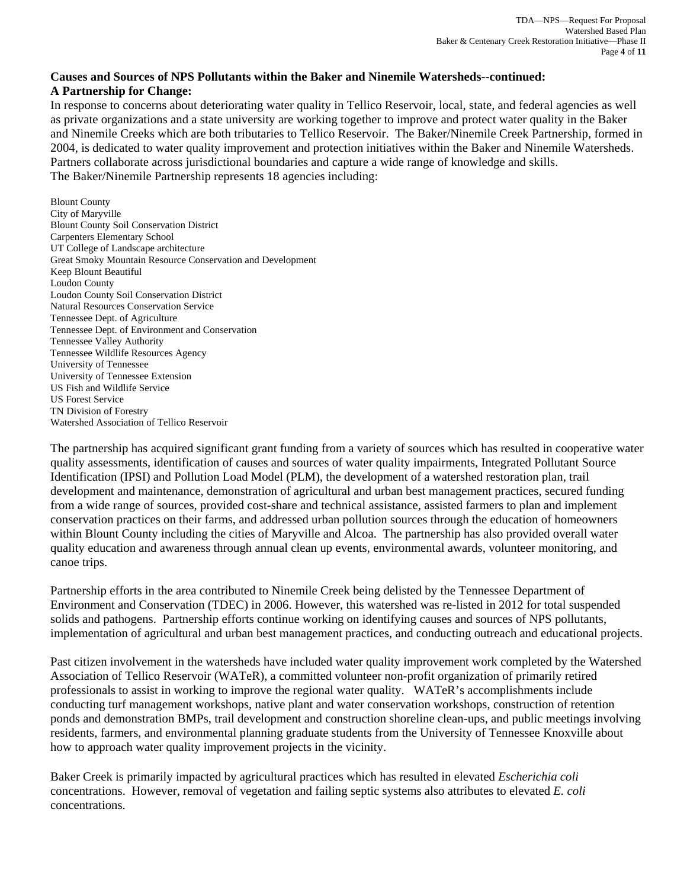# **Causes and Sources of NPS Pollutants within the Baker and Ninemile Watersheds--continued: A Partnership for Change:**

In response to concerns about deteriorating water quality in Tellico Reservoir, local, state, and federal agencies as well as private organizations and a state university are working together to improve and protect water quality in the Baker and Ninemile Creeks which are both tributaries to Tellico Reservoir. The Baker/Ninemile Creek Partnership, formed in 2004, is dedicated to water quality improvement and protection initiatives within the Baker and Ninemile Watersheds. Partners collaborate across jurisdictional boundaries and capture a wide range of knowledge and skills. The Baker/Ninemile Partnership represents 18 agencies including:

Blount County City of Maryville Blount County Soil Conservation District Carpenters Elementary School UT College of Landscape architecture Great Smoky Mountain Resource Conservation and Development Keep Blount Beautiful Loudon County Loudon County Soil Conservation District Natural Resources Conservation Service Tennessee Dept. of Agriculture Tennessee Dept. of Environment and Conservation Tennessee Valley Authority Tennessee Wildlife Resources Agency University of Tennessee University of Tennessee Extension US Fish and Wildlife Service US Forest Service TN Division of Forestry Watershed Association of Tellico Reservoir

The partnership has acquired significant grant funding from a variety of sources which has resulted in cooperative water quality assessments, identification of causes and sources of water quality impairments, Integrated Pollutant Source Identification (IPSI) and Pollution Load Model (PLM), the development of a watershed restoration plan, trail development and maintenance, demonstration of agricultural and urban best management practices, secured funding from a wide range of sources, provided cost-share and technical assistance, assisted farmers to plan and implement conservation practices on their farms, and addressed urban pollution sources through the education of homeowners within Blount County including the cities of Maryville and Alcoa. The partnership has also provided overall water quality education and awareness through annual clean up events, environmental awards, volunteer monitoring, and canoe trips.

Partnership efforts in the area contributed to Ninemile Creek being delisted by the Tennessee Department of Environment and Conservation (TDEC) in 2006. However, this watershed was re-listed in 2012 for total suspended solids and pathogens. Partnership efforts continue working on identifying causes and sources of NPS pollutants, implementation of agricultural and urban best management practices, and conducting outreach and educational projects.

Past citizen involvement in the watersheds have included water quality improvement work completed by the Watershed Association of Tellico Reservoir (WATeR), a committed volunteer non-profit organization of primarily retired professionals to assist in working to improve the regional water quality. WATeR's accomplishments include conducting turf management workshops, native plant and water conservation workshops, construction of retention ponds and demonstration BMPs, trail development and construction shoreline clean-ups, and public meetings involving residents, farmers, and environmental planning graduate students from the University of Tennessee Knoxville about how to approach water quality improvement projects in the vicinity.

Baker Creek is primarily impacted by agricultural practices which has resulted in elevated *Escherichia coli* concentrations. However, removal of vegetation and failing septic systems also attributes to elevated *E. coli* concentrations.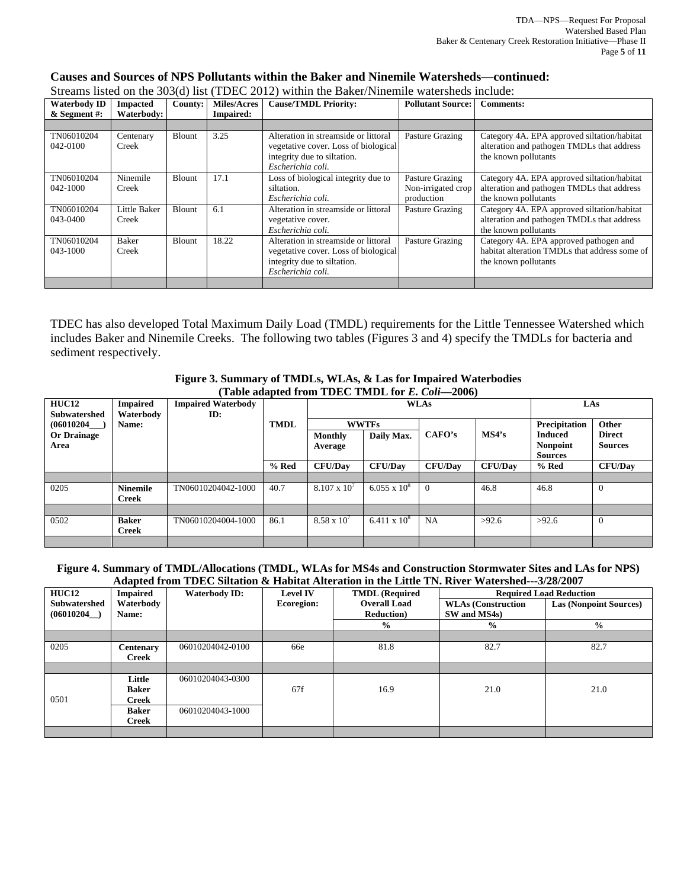| <b>Waterbody ID</b>    | <b>Impacted</b>       | County:       | <b>Miles/Acres</b> | <b>Cause/TMDL Priority:</b>                                                                                                      | <b>Pollutant Source:</b> | <b>Comments:</b>                                                                                                  |
|------------------------|-----------------------|---------------|--------------------|----------------------------------------------------------------------------------------------------------------------------------|--------------------------|-------------------------------------------------------------------------------------------------------------------|
| $&$ Segment #:         | Waterbody:            |               | <b>Impaired:</b>   |                                                                                                                                  |                          |                                                                                                                   |
|                        |                       |               |                    |                                                                                                                                  |                          |                                                                                                                   |
| TN06010204<br>042-0100 | Centenary<br>Creek    | <b>Blount</b> | 3.25               | Alteration in streamside or littoral<br>vegetative cover. Loss of biological<br>integrity due to siltation.                      | Pasture Grazing          | Category 4A. EPA approved siltation/habitat<br>alteration and pathogen TMDLs that address<br>the known pollutants |
|                        |                       |               |                    | Escherichia coli.                                                                                                                |                          |                                                                                                                   |
| TN06010204             | Ninemile              | Blount        | 17.1               | Loss of biological integrity due to                                                                                              | Pasture Grazing          | Category 4A. EPA approved siltation/habitat                                                                       |
| 042-1000               | Creek                 |               |                    | siltation.                                                                                                                       | Non-irrigated crop       | alteration and pathogen TMDLs that address                                                                        |
|                        |                       |               |                    | Escherichia coli.                                                                                                                | production               | the known pollutants                                                                                              |
| TN06010204             | Little Baker          | <b>Blount</b> | 6.1                | Alteration in streamside or littoral                                                                                             | Pasture Grazing          | Category 4A. EPA approved siltation/habitat                                                                       |
| 043-0400               | Creek                 |               |                    | vegetative cover.                                                                                                                |                          | alteration and pathogen TMDLs that address                                                                        |
|                        |                       |               |                    | Escherichia coli.                                                                                                                |                          | the known pollutants                                                                                              |
| TN06010204<br>043-1000 | <b>Baker</b><br>Creek | Blount        | 18.22              | Alteration in streamside or littoral<br>vegetative cover. Loss of biological<br>integrity due to siltation.<br>Escherichia coli. | Pasture Grazing          | Category 4A. EPA approved pathogen and<br>habitat alteration TMDLs that address some of<br>the known pollutants   |
|                        |                       |               |                    |                                                                                                                                  |                          |                                                                                                                   |

#### **Causes and Sources of NPS Pollutants within the Baker and Ninemile Watersheds—continued:** Streams listed on the 303(d) list (TDEC 2012) within the Baker/Ninemile watersheds include:

TDEC has also developed Total Maximum Daily Load (TMDL) requirements for the Little Tennessee Watershed which includes Baker and Ninemile Creeks. The following two tables (Figures 3 and 4) specify the TMDLs for bacteria and sediment respectively.

#### **Figure 3. Summary of TMDLs, WLAs, & Las for Impaired Waterbodies (Table adapted from TDEC TMDL for** *E. Coli***—2006)**

| <b>HUC12</b><br><b>Subwatershed</b>     | <b>Impaired</b><br>Waterbody    | <b>Impaired Waterbody</b><br>ID: |             |                       | <b>WLAs</b>                |                | LAs            |                                                                      |                                          |  |
|-----------------------------------------|---------------------------------|----------------------------------|-------------|-----------------------|----------------------------|----------------|----------------|----------------------------------------------------------------------|------------------------------------------|--|
| (06010204<br><b>Or Drainage</b><br>Area | Name:                           |                                  | <b>TMDL</b> | Monthly<br>Average    | <b>WWTFs</b><br>Daily Max. | CAFO's         | MS4's          | <b>Precipitation</b><br><b>Induced</b><br>Nonpoint<br><b>Sources</b> | Other<br><b>Direct</b><br><b>Sources</b> |  |
|                                         |                                 |                                  | % Red       | <b>CFU/Dav</b>        | <b>CFU/Dav</b>             | <b>CFU/Dav</b> | <b>CFU/Dav</b> | % Red                                                                | <b>CFU/Day</b>                           |  |
|                                         |                                 |                                  |             |                       |                            |                |                |                                                                      |                                          |  |
| 0205                                    | <b>Ninemile</b><br><b>Creek</b> | TN06010204042-1000               | 40.7        | $8.107 \times 10^{7}$ | $6.055 \times 10^8$        |                | 46.8           | 46.8                                                                 | $\Omega$                                 |  |
|                                         |                                 |                                  |             |                       |                            |                |                |                                                                      |                                          |  |
| 0502                                    | <b>Baker</b><br><b>Creek</b>    | TN06010204004-1000               | 86.1        | $8.58 \times 10^{7}$  | $6.411 \times 10^{8}$      | NA             | >92.6          | >92.6                                                                | $\theta$                                 |  |
|                                         |                                 |                                  |             |                       |                            |                |                |                                                                      |                                          |  |

#### **Figure 4. Summary of TMDL/Allocations (TMDL, WLAs for MS4s and Construction Stormwater Sites and LAs for NPS) Adapted from TDEC Siltation & Habitat Alteration in the Little TN. River Watershed---3/28/2007**

| HUC12                             | <b>Impaired</b>                 | <b>Waterbody ID:</b> | <b>Level IV</b>   | <b>TMDL</b> (Required                     | <b>Required Load Reduction</b>            |                               |  |  |  |
|-----------------------------------|---------------------------------|----------------------|-------------------|-------------------------------------------|-------------------------------------------|-------------------------------|--|--|--|
| <b>Subwatershed</b><br>(06010204) | Waterbody<br>Name:              |                      | <b>Ecoregion:</b> | <b>Overall Load</b><br><b>Reduction</b> ) | <b>WLAs (Construction</b><br>SW and MS4s) | <b>Las (Nonpoint Sources)</b> |  |  |  |
|                                   |                                 |                      |                   | $\frac{1}{2}$                             | $\frac{0}{0}$                             | $\frac{6}{9}$                 |  |  |  |
|                                   |                                 |                      |                   |                                           |                                           |                               |  |  |  |
| 0205                              | <b>Centenary</b><br>Creek       | 06010204042-0100     | 66e               | 81.8                                      | 82.7                                      | 82.7                          |  |  |  |
|                                   |                                 |                      |                   |                                           |                                           |                               |  |  |  |
| 0501                              | Little<br><b>Baker</b><br>Creek | 06010204043-0300     | 67f               | 16.9                                      | 21.0                                      | 21.0                          |  |  |  |
|                                   | <b>Baker</b><br>Creek           | 06010204043-1000     |                   |                                           |                                           |                               |  |  |  |
|                                   |                                 |                      |                   |                                           |                                           |                               |  |  |  |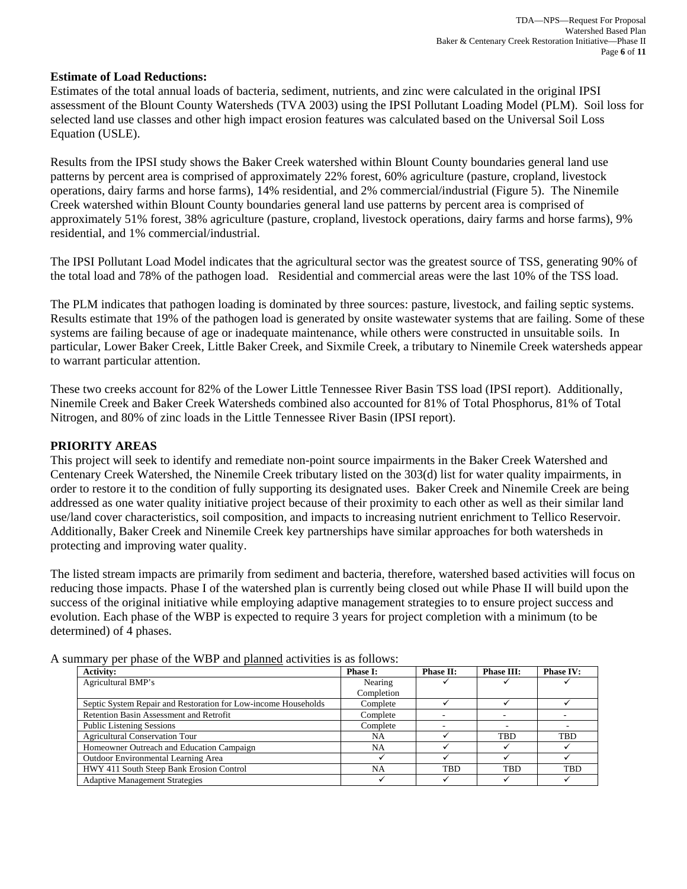## **Estimate of Load Reductions:**

Estimates of the total annual loads of bacteria, sediment, nutrients, and zinc were calculated in the original IPSI assessment of the Blount County Watersheds (TVA 2003) using the IPSI Pollutant Loading Model (PLM). Soil loss for selected land use classes and other high impact erosion features was calculated based on the Universal Soil Loss Equation (USLE).

Results from the IPSI study shows the Baker Creek watershed within Blount County boundaries general land use patterns by percent area is comprised of approximately 22% forest, 60% agriculture (pasture, cropland, livestock operations, dairy farms and horse farms), 14% residential, and 2% commercial/industrial (Figure 5). The Ninemile Creek watershed within Blount County boundaries general land use patterns by percent area is comprised of approximately 51% forest, 38% agriculture (pasture, cropland, livestock operations, dairy farms and horse farms), 9% residential, and 1% commercial/industrial.

The IPSI Pollutant Load Model indicates that the agricultural sector was the greatest source of TSS, generating 90% of the total load and 78% of the pathogen load. Residential and commercial areas were the last 10% of the TSS load.

The PLM indicates that pathogen loading is dominated by three sources: pasture, livestock, and failing septic systems. Results estimate that 19% of the pathogen load is generated by onsite wastewater systems that are failing. Some of these systems are failing because of age or inadequate maintenance, while others were constructed in unsuitable soils. In particular, Lower Baker Creek, Little Baker Creek, and Sixmile Creek, a tributary to Ninemile Creek watersheds appear to warrant particular attention.

These two creeks account for 82% of the Lower Little Tennessee River Basin TSS load (IPSI report). Additionally, Ninemile Creek and Baker Creek Watersheds combined also accounted for 81% of Total Phosphorus, 81% of Total Nitrogen, and 80% of zinc loads in the Little Tennessee River Basin (IPSI report).

## **PRIORITY AREAS**

This project will seek to identify and remediate non-point source impairments in the Baker Creek Watershed and Centenary Creek Watershed, the Ninemile Creek tributary listed on the 303(d) list for water quality impairments, in order to restore it to the condition of fully supporting its designated uses. Baker Creek and Ninemile Creek are being addressed as one water quality initiative project because of their proximity to each other as well as their similar land use/land cover characteristics, soil composition, and impacts to increasing nutrient enrichment to Tellico Reservoir. Additionally, Baker Creek and Ninemile Creek key partnerships have similar approaches for both watersheds in protecting and improving water quality.

The listed stream impacts are primarily from sediment and bacteria, therefore, watershed based activities will focus on reducing those impacts. Phase I of the watershed plan is currently being closed out while Phase II will build upon the success of the original initiative while employing adaptive management strategies to to ensure project success and evolution. Each phase of the WBP is expected to require 3 years for project completion with a minimum (to be determined) of 4 phases.

| <b>Activity:</b>                                               | <b>Phase I:</b> | Phase II:  | <b>Phase III:</b> | <b>Phase IV:</b> |  |
|----------------------------------------------------------------|-----------------|------------|-------------------|------------------|--|
| Agricultural BMP's                                             | Nearing         |            |                   |                  |  |
|                                                                | Completion      |            |                   |                  |  |
| Septic System Repair and Restoration for Low-income Households | Complete        |            |                   |                  |  |
| Retention Basin Assessment and Retrofit                        | Complete        |            |                   |                  |  |
| <b>Public Listening Sessions</b>                               | Complete        |            |                   |                  |  |
| <b>Agricultural Conservation Tour</b>                          | NA              |            | <b>TBD</b>        | TBD              |  |
| Homeowner Outreach and Education Campaign                      | NA              |            |                   |                  |  |
| Outdoor Environmental Learning Area                            |                 |            |                   |                  |  |
| HWY 411 South Steep Bank Erosion Control                       | <b>NA</b>       | <b>TBD</b> | <b>TBD</b>        | <b>TBD</b>       |  |
| <b>Adaptive Management Strategies</b>                          |                 |            |                   |                  |  |

A summary per phase of the WBP and planned activities is as follows: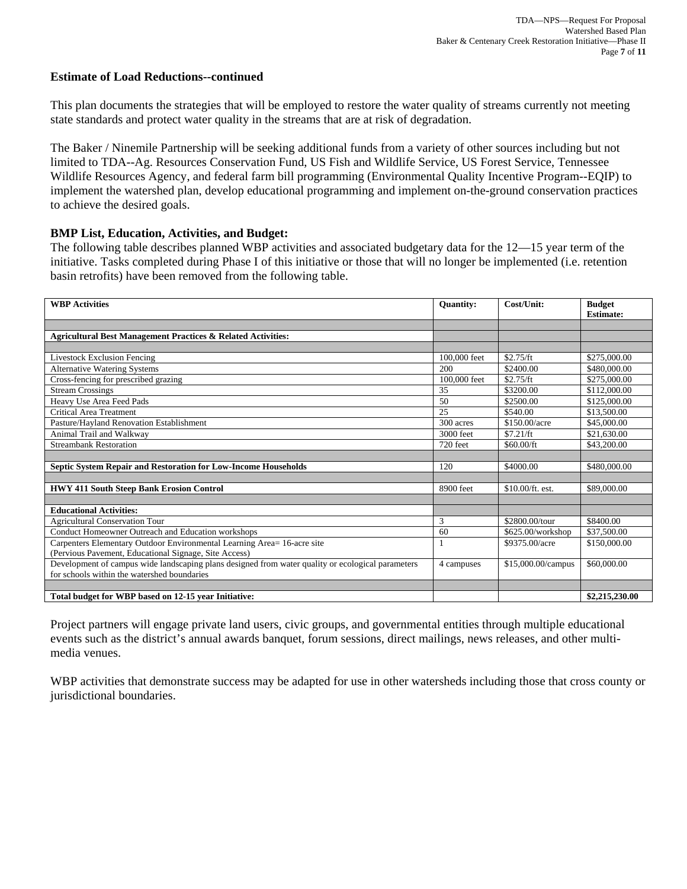#### **Estimate of Load Reductions--continued**

This plan documents the strategies that will be employed to restore the water quality of streams currently not meeting state standards and protect water quality in the streams that are at risk of degradation.

The Baker / Ninemile Partnership will be seeking additional funds from a variety of other sources including but not limited to TDA--Ag. Resources Conservation Fund, US Fish and Wildlife Service, US Forest Service, Tennessee Wildlife Resources Agency, and federal farm bill programming (Environmental Quality Incentive Program--EQIP) to implement the watershed plan, develop educational programming and implement on-the-ground conservation practices to achieve the desired goals.

#### **BMP List, Education, Activities, and Budget:**

The following table describes planned WBP activities and associated budgetary data for the 12—15 year term of the initiative. Tasks completed during Phase I of this initiative or those that will no longer be implemented (i.e. retention basin retrofits) have been removed from the following table.

| <b>WBP</b> Activities                                                                             | <b>Quantity:</b> | Cost/Unit:         | <b>Budget</b>    |  |
|---------------------------------------------------------------------------------------------------|------------------|--------------------|------------------|--|
|                                                                                                   |                  |                    | <b>Estimate:</b> |  |
|                                                                                                   |                  |                    |                  |  |
| Agricultural Best Management Practices & Related Activities:                                      |                  |                    |                  |  |
|                                                                                                   |                  |                    |                  |  |
| <b>Livestock Exclusion Fencing</b>                                                                | 100,000 feet     | \$2.75/ft          | \$275,000.00     |  |
| <b>Alternative Watering Systems</b>                                                               | 200              | \$2400.00          | \$480,000.00     |  |
| Cross-fencing for prescribed grazing                                                              | 100,000 feet     | \$2.75/ft          | \$275,000.00     |  |
| <b>Stream Crossings</b>                                                                           | 35               | \$3200.00          | \$112,000.00     |  |
| Heavy Use Area Feed Pads                                                                          | 50               | \$2500.00          | \$125,000.00     |  |
| <b>Critical Area Treatment</b>                                                                    | 25               | \$540.00           | \$13,500.00      |  |
| Pasture/Hayland Renovation Establishment                                                          | 300 acres        | \$150.00/acre      | \$45,000.00      |  |
| Animal Trail and Walkway                                                                          | 3000 feet        | \$7.21/ft          | \$21,630.00      |  |
| <b>Streambank Restoration</b>                                                                     | 720 feet         | \$60.00/ft         | \$43,200.00      |  |
|                                                                                                   |                  |                    |                  |  |
| Septic System Repair and Restoration for Low-Income Households                                    | 120              | \$4000.00          | \$480,000.00     |  |
|                                                                                                   |                  |                    |                  |  |
| <b>HWY 411 South Steep Bank Erosion Control</b>                                                   | 8900 feet        | $$10.00/ft.$ est.  | \$89,000.00      |  |
|                                                                                                   |                  |                    |                  |  |
| <b>Educational Activities:</b>                                                                    |                  |                    |                  |  |
| <b>Agricultural Conservation Tour</b>                                                             | 3                | \$2800.00/tour     | \$8400.00        |  |
| Conduct Homeowner Outreach and Education workshops                                                | 60               | \$625.00/workshop  | \$37,500.00      |  |
| Carpenters Elementary Outdoor Environmental Learning Area= 16-acre site                           |                  | \$9375.00/acre     | \$150,000.00     |  |
| (Pervious Pavement, Educational Signage, Site Access)                                             |                  |                    |                  |  |
| Development of campus wide landscaping plans designed from water quality or ecological parameters | 4 campuses       | \$15,000.00/campus | \$60,000.00      |  |
| for schools within the watershed boundaries                                                       |                  |                    |                  |  |
|                                                                                                   |                  |                    |                  |  |
| Total budget for WBP based on 12-15 year Initiative:                                              |                  |                    | \$2,215,230.00   |  |

Project partners will engage private land users, civic groups, and governmental entities through multiple educational events such as the district's annual awards banquet, forum sessions, direct mailings, news releases, and other multimedia venues.

WBP activities that demonstrate success may be adapted for use in other watersheds including those that cross county or jurisdictional boundaries.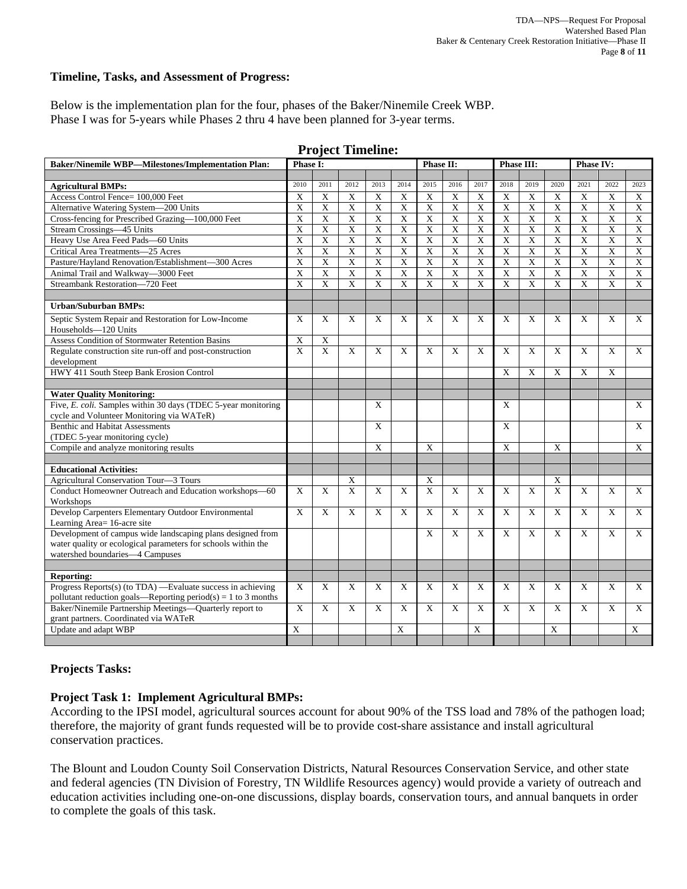#### **Timeline, Tasks, and Assessment of Progress:**

Below is the implementation plan for the four, phases of the Baker/Ninemile Creek WBP. Phase I was for 5-years while Phases 2 thru 4 have been planned for 3-year terms.

| <b>Baker/Ninemile WBP-Milestones/Implementation Plan:</b>                                 |                         | <b>Phase I:</b>           |                               |                       |                | Phase II:               |                           |                           | Phase III:            |                         |                         | Phase IV:                 |                |                         |
|-------------------------------------------------------------------------------------------|-------------------------|---------------------------|-------------------------------|-----------------------|----------------|-------------------------|---------------------------|---------------------------|-----------------------|-------------------------|-------------------------|---------------------------|----------------|-------------------------|
|                                                                                           |                         |                           |                               |                       |                |                         |                           |                           |                       |                         |                         |                           |                |                         |
| <b>Agricultural BMPs:</b>                                                                 | 2010                    | 2011                      | 2012                          | 2013                  | 2014           | 2015                    | 2016                      | 2017                      | 2018                  | 2019                    | 2020                    | 2021                      | 2022           | 2023                    |
| Access Control Fence= 100,000 Feet                                                        | X                       | X                         | $\mathbf X$                   | $\mathbf X$           | X              | X                       | X                         | $\boldsymbol{X}$          | $\mathbf X$           | $\mathbf X$             | X                       | $\boldsymbol{\mathrm{X}}$ | X              | X                       |
| Alternative Watering System-200 Units                                                     |                         | $\boldsymbol{\mathrm{X}}$ | $\overline{X}$                | $\overline{X}$        | X              | X                       | $\boldsymbol{\mathrm{X}}$ | $\overline{\mathbf{X}}$   | $\overline{X}$        | X                       | $\overline{\mathbf{X}}$ | $\boldsymbol{\mathrm{X}}$ | $\mathbf X$    | $\overline{X}$          |
| Cross-fencing for Prescribed Grazing-100,000 Feet                                         | $\overline{X}$          | X                         | $\overline{X}$                | $\overline{X}$        | $\overline{X}$ | $\overline{X}$          | $\overline{X}$            | $\overline{\mathbf{X}}$   | $\overline{X}$        | $\overline{X}$          | $\overline{X}$          | $\overline{X}$            | $\overline{X}$ | $\overline{X}$          |
| Stream Crossings-45 Units                                                                 | $\overline{X}$          | $\overline{\mathbf{X}}$   | $\overline{X}$                | $\overline{X}$        | $\overline{X}$ | $\overline{X}$          | $\overline{\mathbf{X}}$   | X                         | $\overline{\text{X}}$ | $\overline{X}$          | $\overline{X}$          | $\overline{X}$            | $\overline{X}$ | $\overline{X}$          |
| Heavy Use Area Feed Pads-60 Units                                                         | X                       | X                         | $\mathbf X$                   | $\mathbf X$           | X              | X                       | $\mathbf X$               | $\boldsymbol{\mathrm{X}}$ | $\mathbf X$           | X                       | $\overline{X}$          | $\boldsymbol{\mathrm{X}}$ | $\mathbf X$    | $\overline{X}$          |
| Critical Area Treatments-25 Acres                                                         | $\overline{\mathbf{X}}$ | $\overline{\mathbf{X}}$   | $\overline{\mathbf{X}}$       | $\overline{X}$        | X              | $\overline{X}$          | $\overline{\mathbf{X}}$   | $\overline{X}$            | $\overline{X}$        | $\overline{X}$          | $\overline{\mathbf{X}}$ | $\overline{\mathbf{X}}$   | $\overline{X}$ | $\overline{X}$          |
| Pasture/Hayland Renovation/Establishment-300 Acres                                        | $\overline{X}$          | $\overline{\mathbf{X}}$   | $\overline{X}$                | $\overline{\text{X}}$ | $\overline{X}$ | $\overline{\textbf{X}}$ | $\overline{X}$            | $\overline{X}$            | $\overline{\text{X}}$ | $\overline{\textbf{X}}$ | $\overline{\textbf{X}}$ | $\overline{X}$            | $\overline{X}$ | $\overline{\textbf{X}}$ |
| Animal Trail and Walkway-3000 Feet                                                        | $\overline{\mathbf{X}}$ | $\overline{\text{X}}$     | $\overline{X}$                | $\overline{X}$        | X              | $\overline{X}$          | $\overline{X}$            | $\overline{X}$            | $\overline{X}$        | $\overline{\text{X}}$   | $\overline{X}$          | $\overline{\mathbf{X}}$   | $\mathbf X$    | $\overline{X}$          |
| Streambank Restoration-720 Feet                                                           | $\overline{\mathbf{x}}$ | $\overline{X}$            | $\overline{X}$                | $\overline{X}$        | X              | $\overline{\mathbf{x}}$ | $\overline{X}$            | $\overline{X}$            | $\overline{X}$        | $\overline{X}$          | $\overline{X}$          | $\overline{X}$            | $\overline{X}$ | $\overline{X}$          |
|                                                                                           |                         |                           |                               |                       |                |                         |                           |                           |                       |                         |                         |                           |                |                         |
| Urban/Suburban BMPs:                                                                      |                         |                           |                               |                       |                |                         |                           |                           |                       |                         |                         |                           |                |                         |
| Septic System Repair and Restoration for Low-Income                                       | X                       | X                         | X                             | X                     | X              | X                       | X                         | X                         | X                     | X                       | X                       | X                         | X              | X                       |
| Households-120 Units                                                                      |                         |                           |                               |                       |                |                         |                           |                           |                       |                         |                         |                           |                |                         |
| Assess Condition of Stormwater Retention Basins                                           | X                       | $\mathbf X$               |                               |                       |                |                         |                           |                           |                       |                         |                         |                           |                |                         |
| Regulate construction site run-off and post-construction                                  | $\overline{X}$          | $\overline{X}$            | $\mathbf X$                   | X                     | $\mathbf X$    | X                       | $\mathbf X$               | X                         | X                     | $\mathbf X$             | $\mathbf X$             | X                         | X              | $\mathbf X$             |
| development                                                                               |                         |                           |                               |                       |                |                         |                           |                           |                       |                         |                         |                           |                |                         |
| HWY 411 South Steep Bank Erosion Control                                                  |                         |                           |                               |                       |                |                         |                           |                           | X                     | X                       | $\mathbf X$             | X                         | X              |                         |
|                                                                                           |                         |                           |                               |                       |                |                         |                           |                           |                       |                         |                         |                           |                |                         |
| <b>Water Quality Monitoring:</b>                                                          |                         |                           |                               |                       |                |                         |                           |                           |                       |                         |                         |                           |                |                         |
| Five, E. coli. Samples within 30 days (TDEC 5-year monitoring                             |                         |                           |                               | X                     |                |                         |                           |                           | X                     |                         |                         |                           |                | X                       |
| cycle and Volunteer Monitoring via WATeR)                                                 |                         |                           |                               |                       |                |                         |                           |                           |                       |                         |                         |                           |                |                         |
| Benthic and Habitat Assessments                                                           |                         |                           |                               | X                     |                |                         |                           |                           | X                     |                         |                         |                           |                | $\mathbf X$             |
| (TDEC 5-year monitoring cycle)                                                            |                         |                           |                               |                       |                |                         |                           |                           |                       |                         |                         |                           |                |                         |
| Compile and analyze monitoring results                                                    |                         |                           |                               | X                     |                | X                       |                           |                           | X                     |                         | X                       |                           |                | X                       |
|                                                                                           |                         |                           |                               |                       |                |                         |                           |                           |                       |                         |                         |                           |                |                         |
| <b>Educational Activities:</b>                                                            |                         |                           |                               |                       |                |                         |                           |                           |                       |                         |                         |                           |                |                         |
| Agricultural Conservation Tour-3 Tours                                                    |                         |                           | $\mathbf X$<br>$\overline{X}$ |                       |                | X<br>$\overline{X}$     | $\overline{X}$            |                           |                       | $\overline{X}$          | X<br>$\overline{X}$     | $\overline{X}$            |                |                         |
| Conduct Homeowner Outreach and Education workshops-60<br>Workshops                        | X                       | X                         |                               | X                     | X              |                         |                           | X                         | X                     |                         |                         |                           | X              | X                       |
| Develop Carpenters Elementary Outdoor Environmental                                       | $\mathbf X$             | $\mathbf X$               | $\mathbf X$                   | X                     | $\mathbf X$    | $\mathbf X$             | $\mathbf X$               | $\mathbf X$               | $\mathbf X$           | $\mathbf X$             | $\mathbf X$             | $\mathbf X$               | $\mathbf X$    | $\mathbf X$             |
| Learning Area= 16-acre site<br>Development of campus wide landscaping plans designed from |                         |                           |                               |                       |                | X                       | X                         | X                         | X                     | X                       | X                       | X                         | X              | X                       |
| water quality or ecological parameters for schools within the                             |                         |                           |                               |                       |                |                         |                           |                           |                       |                         |                         |                           |                |                         |
| watershed boundaries-4 Campuses                                                           |                         |                           |                               |                       |                |                         |                           |                           |                       |                         |                         |                           |                |                         |
|                                                                                           |                         |                           |                               |                       |                |                         |                           |                           |                       |                         |                         |                           |                |                         |
| <b>Reporting:</b>                                                                         |                         |                           |                               |                       |                |                         |                           |                           |                       |                         |                         |                           |                |                         |
| Progress Reports(s) (to TDA) —Evaluate success in achieving                               |                         | X                         | X                             | X                     | X              | X                       | $\mathbf X$               | X                         | X                     | $\overline{X}$          | X                       | X                         | X              | X                       |
| pollutant reduction goals—Reporting period(s) = 1 to 3 months                             | X                       |                           |                               |                       |                |                         |                           |                           |                       |                         |                         |                           |                |                         |
| Baker/Ninemile Partnership Meetings-Quarterly report to                                   | X                       | X                         | X                             | X                     | X              | X                       | X                         | X                         | X                     | X                       | X                       | X                         | X              | X                       |
| grant partners. Coordinated via WATeR                                                     |                         |                           |                               |                       |                |                         |                           |                           |                       |                         |                         |                           |                |                         |
| Update and adapt WBP                                                                      | $\overline{X}$          |                           |                               |                       | X              |                         |                           | X                         |                       |                         | X                       |                           |                | X                       |
|                                                                                           |                         |                           |                               |                       |                |                         |                           |                           |                       |                         |                         |                           |                |                         |

#### **Project Timeline:**

#### **Projects Tasks:**

#### **Project Task 1: Implement Agricultural BMPs:**

According to the IPSI model, agricultural sources account for about 90% of the TSS load and 78% of the pathogen load; therefore, the majority of grant funds requested will be to provide cost-share assistance and install agricultural conservation practices.

The Blount and Loudon County Soil Conservation Districts, Natural Resources Conservation Service, and other state and federal agencies (TN Division of Forestry, TN Wildlife Resources agency) would provide a variety of outreach and education activities including one-on-one discussions, display boards, conservation tours, and annual banquets in order to complete the goals of this task.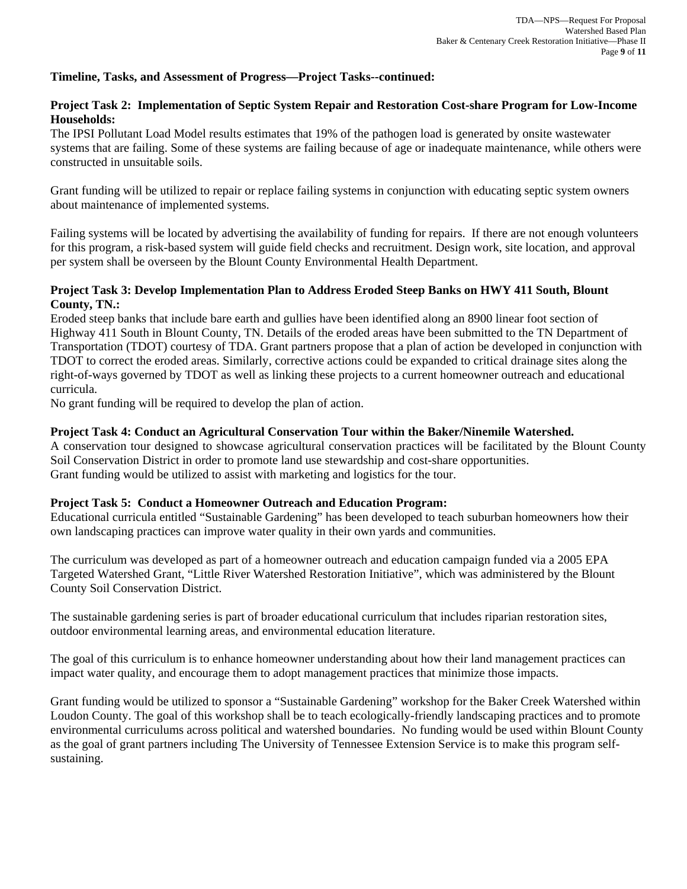## **Timeline, Tasks, and Assessment of Progress—Project Tasks--continued:**

# **Project Task 2: Implementation of Septic System Repair and Restoration Cost-share Program for Low-Income Households:**

The IPSI Pollutant Load Model results estimates that 19% of the pathogen load is generated by onsite wastewater systems that are failing. Some of these systems are failing because of age or inadequate maintenance, while others were constructed in unsuitable soils.

Grant funding will be utilized to repair or replace failing systems in conjunction with educating septic system owners about maintenance of implemented systems.

Failing systems will be located by advertising the availability of funding for repairs. If there are not enough volunteers for this program, a risk-based system will guide field checks and recruitment. Design work, site location, and approval per system shall be overseen by the Blount County Environmental Health Department.

#### **Project Task 3: Develop Implementation Plan to Address Eroded Steep Banks on HWY 411 South, Blount County, TN.:**

Eroded steep banks that include bare earth and gullies have been identified along an 8900 linear foot section of Highway 411 South in Blount County, TN. Details of the eroded areas have been submitted to the TN Department of Transportation (TDOT) courtesy of TDA. Grant partners propose that a plan of action be developed in conjunction with TDOT to correct the eroded areas. Similarly, corrective actions could be expanded to critical drainage sites along the right-of-ways governed by TDOT as well as linking these projects to a current homeowner outreach and educational curricula.

No grant funding will be required to develop the plan of action.

# **Project Task 4: Conduct an Agricultural Conservation Tour within the Baker/Ninemile Watershed.**

A conservation tour designed to showcase agricultural conservation practices will be facilitated by the Blount County Soil Conservation District in order to promote land use stewardship and cost-share opportunities. Grant funding would be utilized to assist with marketing and logistics for the tour.

#### **Project Task 5: Conduct a Homeowner Outreach and Education Program:**

Educational curricula entitled "Sustainable Gardening" has been developed to teach suburban homeowners how their own landscaping practices can improve water quality in their own yards and communities.

The curriculum was developed as part of a homeowner outreach and education campaign funded via a 2005 EPA Targeted Watershed Grant, "Little River Watershed Restoration Initiative", which was administered by the Blount County Soil Conservation District.

The sustainable gardening series is part of broader educational curriculum that includes riparian restoration sites, outdoor environmental learning areas, and environmental education literature.

The goal of this curriculum is to enhance homeowner understanding about how their land management practices can impact water quality, and encourage them to adopt management practices that minimize those impacts.

Grant funding would be utilized to sponsor a "Sustainable Gardening" workshop for the Baker Creek Watershed within Loudon County. The goal of this workshop shall be to teach ecologically-friendly landscaping practices and to promote environmental curriculums across political and watershed boundaries. No funding would be used within Blount County as the goal of grant partners including The University of Tennessee Extension Service is to make this program selfsustaining.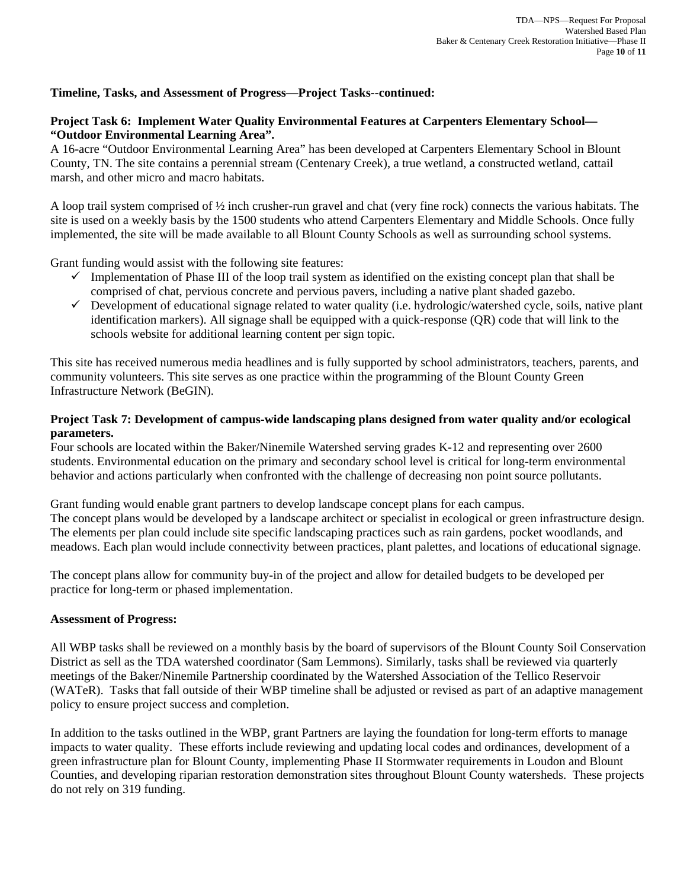# **Timeline, Tasks, and Assessment of Progress—Project Tasks--continued:**

## **Project Task 6: Implement Water Quality Environmental Features at Carpenters Elementary School— "Outdoor Environmental Learning Area".**

A 16-acre "Outdoor Environmental Learning Area" has been developed at Carpenters Elementary School in Blount County, TN. The site contains a perennial stream (Centenary Creek), a true wetland, a constructed wetland, cattail marsh, and other micro and macro habitats.

A loop trail system comprised of ½ inch crusher-run gravel and chat (very fine rock) connects the various habitats. The site is used on a weekly basis by the 1500 students who attend Carpenters Elementary and Middle Schools. Once fully implemented, the site will be made available to all Blount County Schools as well as surrounding school systems.

Grant funding would assist with the following site features:

- $\checkmark$  Implementation of Phase III of the loop trail system as identified on the existing concept plan that shall be comprised of chat, pervious concrete and pervious pavers, including a native plant shaded gazebo.
- $\checkmark$  Development of educational signage related to water quality (i.e. hydrologic/watershed cycle, soils, native plant identification markers). All signage shall be equipped with a quick-response (QR) code that will link to the schools website for additional learning content per sign topic.

This site has received numerous media headlines and is fully supported by school administrators, teachers, parents, and community volunteers. This site serves as one practice within the programming of the Blount County Green Infrastructure Network (BeGIN).

## **Project Task 7: Development of campus-wide landscaping plans designed from water quality and/or ecological parameters.**

Four schools are located within the Baker/Ninemile Watershed serving grades K-12 and representing over 2600 students. Environmental education on the primary and secondary school level is critical for long-term environmental behavior and actions particularly when confronted with the challenge of decreasing non point source pollutants.

Grant funding would enable grant partners to develop landscape concept plans for each campus. The concept plans would be developed by a landscape architect or specialist in ecological or green infrastructure design. The elements per plan could include site specific landscaping practices such as rain gardens, pocket woodlands, and meadows. Each plan would include connectivity between practices, plant palettes, and locations of educational signage.

The concept plans allow for community buy-in of the project and allow for detailed budgets to be developed per practice for long-term or phased implementation.

#### **Assessment of Progress:**

All WBP tasks shall be reviewed on a monthly basis by the board of supervisors of the Blount County Soil Conservation District as sell as the TDA watershed coordinator (Sam Lemmons). Similarly, tasks shall be reviewed via quarterly meetings of the Baker/Ninemile Partnership coordinated by the Watershed Association of the Tellico Reservoir (WATeR). Tasks that fall outside of their WBP timeline shall be adjusted or revised as part of an adaptive management policy to ensure project success and completion.

In addition to the tasks outlined in the WBP, grant Partners are laying the foundation for long-term efforts to manage impacts to water quality. These efforts include reviewing and updating local codes and ordinances, development of a green infrastructure plan for Blount County, implementing Phase II Stormwater requirements in Loudon and Blount Counties, and developing riparian restoration demonstration sites throughout Blount County watersheds. These projects do not rely on 319 funding.